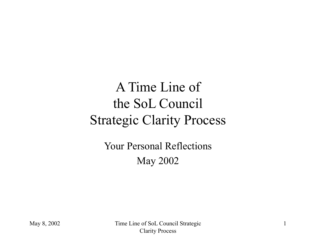## A Time Line of the SoL Council Strategic Clarity Process

Your Personal Reflections May 2002

May 8, 2002 Time Line of SoL Council Strategic Clarity Process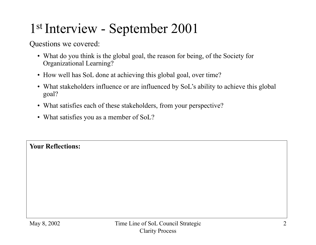## 1st Interview - September 2001

Questions we covered:

- What do you think is the global goal, the reason for being, of the Society for Organizational Learning?
- How well has SoL done at achieving this global goal, over time?
- What stakeholders influence or are influenced by SoL's ability to achieve this global goal?
- What satisfies each of these stakeholders, from your perspective?
- What satisfies you as a member of SoL?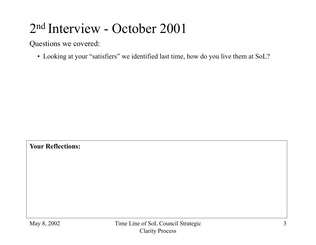### 2nd Interview - October 2001

Questions we covered:

• Looking at your "satisfiers" we identified last time, how do you live them at SoL?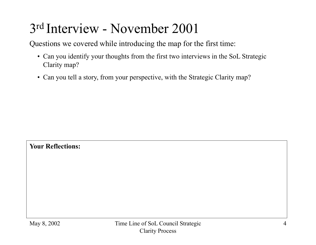## 3rd Interview - November 2001

Questions we covered while introducing the map for the first time:

- Can you identify your thoughts from the first two interviews in the SoL Strategic Clarity map?
- Can you tell a story, from your perspective, with the Strategic Clarity map?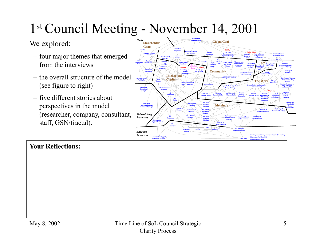# 1st Council Meeting - November 14, 2001

### We explored:

- four major themes that emerged from the interviews
- the overall structure of the model (see figure to right)
- five different stories about perspectives in the model (researcher, company, consultant, staff, GSN/fractal).

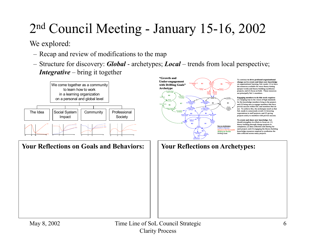# 2nd Council Meeting - January 15-16, 2002

We explored:

- Recap and review of modifications to the map
- Structure for discovery: *Global* archetypes; *Local* trends from local perspective; *Integrative* – bring it together

**"Growth and** 



To continue to drive profou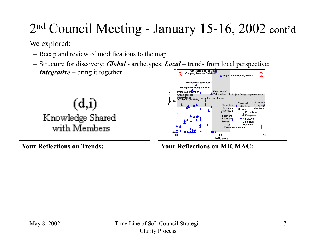# 2nd Council Meeting - January 15-16, 2002 cont'd

We explored:

- Recap and review of modifications to the map
- Structure for discovery: *Global* archetypes; *Local* trends from local perspective; *Integrative* – bring it together Company Member Satisfaction Satisfaction as Individua 1.0

 $(d, i)$ Knowledge Shared with Members

**Your Reflections on Trends:**



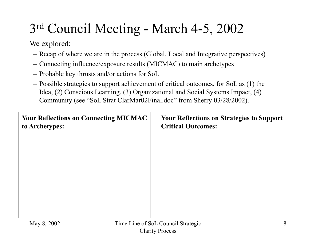# 3rd Council Meeting - March 4-5, 2002

We explored:

- Recap of where we are in the process (Global, Local and Integrative perspectives)
- Connecting influence/exposure results (MICMAC) to main archetypes
- Probable key thrusts and/or actions for SoL
- Possible strategies to support achievement of critical outcomes, for SoL as (1) the Idea, (2) Conscious Learning, (3) Organizational and Social Systems Impact, (4) Community (see "SoL Strat ClarMar02Final.doc" from Sherry 03/28/2002).

| <b>Your Reflections on Connecting MICMAC</b><br>to Archetypes: | <b>Your Reflections on Strategies to Support</b><br><b>Critical Outcomes:</b> |
|----------------------------------------------------------------|-------------------------------------------------------------------------------|
|                                                                |                                                                               |
|                                                                |                                                                               |
|                                                                |                                                                               |
|                                                                |                                                                               |